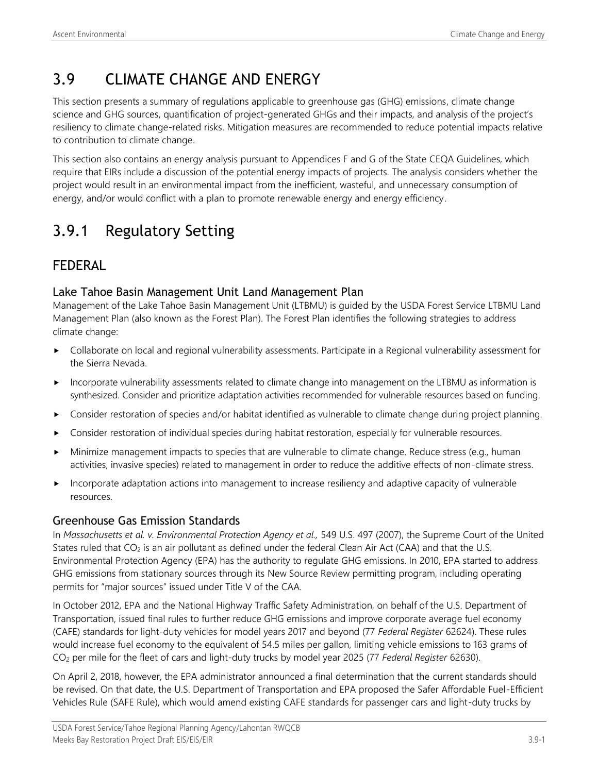# 3.9 CLIMATE CHANGE AND ENERGY

This section presents a summary of regulations applicable to greenhouse gas (GHG) emissions, climate change science and GHG sources, quantification of project-generated GHGs and their impacts, and analysis of the project's resiliency to climate change-related risks. Mitigation measures are recommended to reduce potential impacts relative to contribution to climate change.

This section also contains an energy analysis pursuant to Appendices F and G of the State CEQA Guidelines, which require that EIRs include a discussion of the potential energy impacts of projects. The analysis considers whether the project would result in an environmental impact from the inefficient, wasteful, and unnecessary consumption of energy, and/or would conflict with a plan to promote renewable energy and energy efficiency.

# 3.9.1 Regulatory Setting

## FEDERAL

## Lake Tahoe Basin Management Unit Land Management Plan

Management of the Lake Tahoe Basin Management Unit (LTBMU) is guided by the USDA Forest Service LTBMU Land Management Plan (also known as the Forest Plan). The Forest Plan identifies the following strategies to address climate change:

- Collaborate on local and regional vulnerability assessments. Participate in a Regional vulnerability assessment for the Sierra Nevada.
- Incorporate vulnerability assessments related to climate change into management on the LTBMU as information is synthesized. Consider and prioritize adaptation activities recommended for vulnerable resources based on funding.
- Consider restoration of species and/or habitat identified as vulnerable to climate change during project planning.
- Consider restoration of individual species during habitat restoration, especially for vulnerable resources.
- $\blacktriangleright$  Minimize management impacts to species that are vulnerable to climate change. Reduce stress (e.g., human activities, invasive species) related to management in order to reduce the additive effects of non-climate stress.
- **Incorporate adaptation actions into management to increase resiliency and adaptive capacity of vulnerable** resources.

## Greenhouse Gas Emission Standards

In *Massachusetts et al. v. Environmental Protection Agency et al.,* 549 U.S. 497 (2007), the Supreme Court of the United States ruled that  $CO_2$  is an air pollutant as defined under the federal Clean Air Act (CAA) and that the U.S. Environmental Protection Agency (EPA) has the authority to regulate GHG emissions. In 2010, EPA started to address GHG emissions from stationary sources through its New Source Review permitting program, including operating permits for "major sources" issued under Title V of the CAA.

In October 2012, EPA and the National Highway Traffic Safety Administration, on behalf of the U.S. Department of Transportation, issued final rules to further reduce GHG emissions and improve corporate average fuel economy (CAFE) standards for light-duty vehicles for model years 2017 and beyond (77 *Federal Register* 62624). These rules would increase fuel economy to the equivalent of 54.5 miles per gallon, limiting vehicle emissions to 163 grams of CO<sup>2</sup> per mile for the fleet of cars and light-duty trucks by model year 2025 (77 *Federal Register* 62630).

On April 2, 2018, however, the EPA administrator announced a final determination that the current standards should be revised. On that date, the U.S. Department of Transportation and EPA proposed the Safer Affordable Fuel-Efficient Vehicles Rule (SAFE Rule), which would amend existing CAFE standards for passenger cars and light-duty trucks by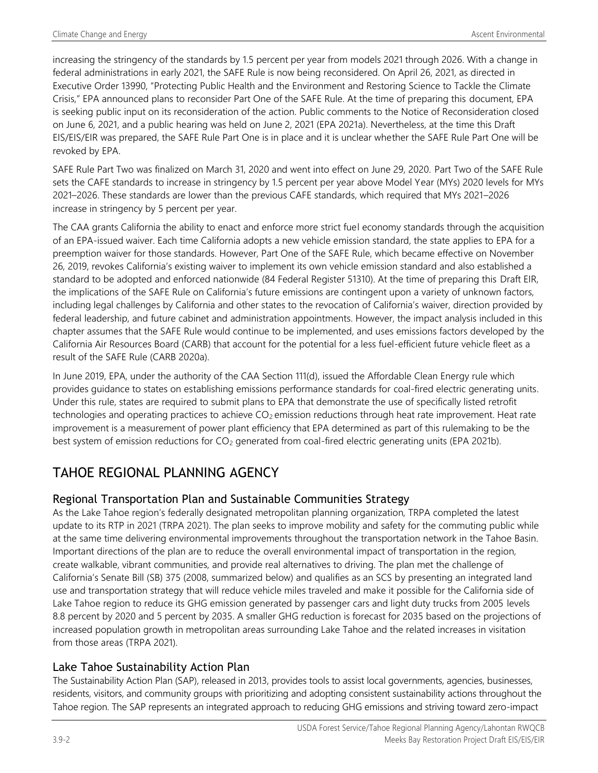increasing the stringency of the standards by 1.5 percent per year from models 2021 through 2026. With a change in federal administrations in early 2021, the SAFE Rule is now being reconsidered. On April 26, 2021, as directed in Executive Order 13990, "Protecting Public Health and the Environment and Restoring Science to Tackle the Climate Crisis," EPA announced plans to reconsider Part One of the SAFE Rule. At the time of preparing this document, EPA is seeking public input on its reconsideration of the action. Public comments to the Notice of Reconsideration closed on June 6, 2021, and a public hearing was held on June 2, 2021 (EPA 2021a). Nevertheless, at the time this Draft EIS/EIS/EIR was prepared, the SAFE Rule Part One is in place and it is unclear whether the SAFE Rule Part One will be revoked by EPA.

SAFE Rule Part Two was finalized on March 31, 2020 and went into effect on June 29, 2020. Part Two of the SAFE Rule sets the CAFE standards to increase in stringency by 1.5 percent per year above Model Year (MYs) 2020 levels for MYs 2021–2026. These standards are lower than the previous CAFE standards, which required that MYs 2021–2026 increase in stringency by 5 percent per year.

The CAA grants California the ability to enact and enforce more strict fuel economy standards through the acquisition of an EPA-issued waiver. Each time California adopts a new vehicle emission standard, the state applies to EPA for a preemption waiver for those standards. However, Part One of the SAFE Rule, which became effective on November 26, 2019, revokes California's existing waiver to implement its own vehicle emission standard and also established a standard to be adopted and enforced nationwide (84 Federal Register 51310). At the time of preparing this Draft EIR, the implications of the SAFE Rule on California's future emissions are contingent upon a variety of unknown factors, including legal challenges by California and other states to the revocation of California's waiver, direction provided by federal leadership, and future cabinet and administration appointments. However, the impact analysis included in this chapter assumes that the SAFE Rule would continue to be implemented, and uses emissions factors developed by the California Air Resources Board (CARB) that account for the potential for a less fuel-efficient future vehicle fleet as a result of the SAFE Rule (CARB 2020a).

In June 2019, EPA, under the authority of the CAA Section 111(d), issued the Affordable Clean Energy rule which provides guidance to states on establishing emissions performance standards for coal-fired electric generating units. Under this rule, states are required to submit plans to EPA that demonstrate the use of specifically listed retrofit technologies and operating practices to achieve  $CO<sub>2</sub>$  emission reductions through heat rate improvement. Heat rate improvement is a measurement of power plant efficiency that EPA determined as part of this rulemaking to be the best system of emission reductions for  $CO<sub>2</sub>$  generated from coal-fired electric generating units (EPA 2021b).

## TAHOE REGIONAL PLANNING AGENCY

## Regional Transportation Plan and Sustainable Communities Strategy

As the Lake Tahoe region's federally designated metropolitan planning organization, TRPA completed the latest update to its RTP in 2021 (TRPA 2021). The plan seeks to improve mobility and safety for the commuting public while at the same time delivering environmental improvements throughout the transportation network in the Tahoe Basin. Important directions of the plan are to reduce the overall environmental impact of transportation in the region, create walkable, vibrant communities, and provide real alternatives to driving. The plan met the challenge of California's Senate Bill (SB) 375 (2008, summarized below) and qualifies as an SCS by presenting an integrated land use and transportation strategy that will reduce vehicle miles traveled and make it possible for the California side of Lake Tahoe region to reduce its GHG emission generated by passenger cars and light duty trucks from 2005 levels 8.8 percent by 2020 and 5 percent by 2035. A smaller GHG reduction is forecast for 2035 based on the projections of increased population growth in metropolitan areas surrounding Lake Tahoe and the related increases in visitation from those areas (TRPA 2021).

## Lake Tahoe Sustainability Action Plan

The Sustainability Action Plan (SAP), released in 2013, provides tools to assist local governments, agencies, businesses, residents, visitors, and community groups with prioritizing and adopting consistent sustainability actions throughout the Tahoe region. The SAP represents an integrated approach to reducing GHG emissions and striving toward zero-impact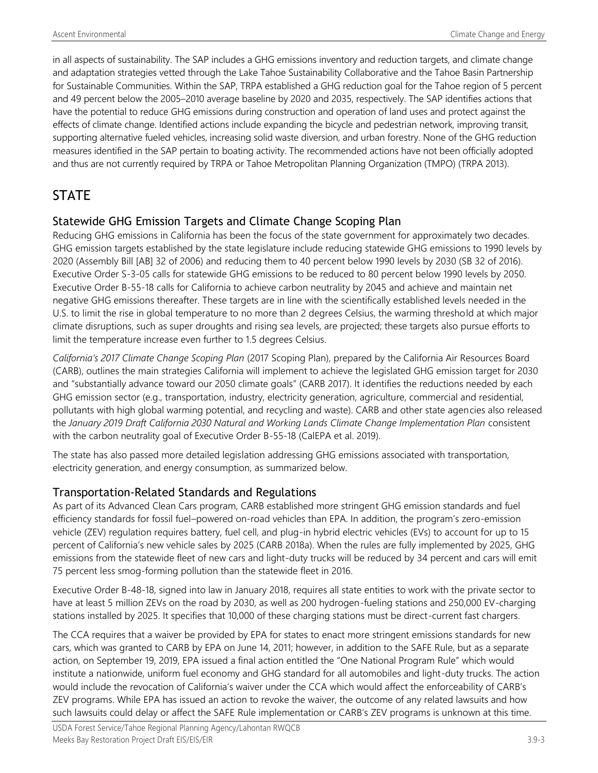in all aspects of sustainability. The SAP includes a GHG emissions inventory and reduction targets, and climate change and adaptation strategies vetted through the Lake Tahoe Sustainability Collaborative and the Tahoe Basin Partnership for Sustainable Communities. Within the SAP, TRPA established a GHG reduction goal for the Tahoe region of 5 percent and 49 percent below the 2005–2010 average baseline by 2020 and 2035, respectively. The SAP identifies actions that have the potential to reduce GHG emissions during construction and operation of land uses and protect against the effects of climate change. Identified actions include expanding the bicycle and pedestrian network, improving transit, supporting alternative fueled vehicles, increasing solid waste diversion, and urban forestry. None of the GHG reduction measures identified in the SAP pertain to boating activity. The recommended actions have not been officially adopted and thus are not currently required by TRPA or Tahoe Metropolitan Planning Organization (TMPO) (TRPA 2013).

## **STATE**

## Statewide GHG Emission Targets and Climate Change Scoping Plan

Reducing GHG emissions in California has been the focus of the state government for approximately two decades. GHG emission targets established by the state legislature include reducing statewide GHG emissions to 1990 levels by 2020 (Assembly Bill [AB] 32 of 2006) and reducing them to 40 percent below 1990 levels by 2030 (SB 32 of 2016). Executive Order S-3-05 calls for statewide GHG emissions to be reduced to 80 percent below 1990 levels by 2050. Executive Order B-55-18 calls for California to achieve carbon neutrality by 2045 and achieve and maintain net negative GHG emissions thereafter. These targets are in line with the scientifically established levels needed in the U.S. to limit the rise in global temperature to no more than 2 degrees Celsius, the warming threshold at which major climate disruptions, such as super droughts and rising sea levels, are projected; these targets also pursue efforts to limit the temperature increase even further to 1.5 degrees Celsius.

*California's 2017 Climate Change Scoping Plan* (2017 Scoping Plan), prepared by the California Air Resources Board (CARB), outlines the main strategies California will implement to achieve the legislated GHG emission target for 2030 and "substantially advance toward our 2050 climate goals" (CARB 2017). It identifies the reductions needed by each GHG emission sector (e.g., transportation, industry, electricity generation, agriculture, commercial and residential, pollutants with high global warming potential, and recycling and waste). CARB and other state agencies also released the *January 2019 Draft California 2030 Natural and Working Lands Climate Change Implementation Plan* consistent with the carbon neutrality goal of Executive Order B-55-18 (CalEPA et al. 2019).

The state has also passed more detailed legislation addressing GHG emissions associated with transportation, electricity generation, and energy consumption, as summarized below.

## Transportation-Related Standards and Regulations

As part of its Advanced Clean Cars program, CARB established more stringent GHG emission standards and fuel efficiency standards for fossil fuel–powered on-road vehicles than EPA. In addition, the program's zero-emission vehicle (ZEV) regulation requires battery, fuel cell, and plug-in hybrid electric vehicles (EVs) to account for up to 15 percent of California's new vehicle sales by 2025 (CARB 2018a). When the rules are fully implemented by 2025, GHG emissions from the statewide fleet of new cars and light-duty trucks will be reduced by 34 percent and cars will emit 75 percent less smog-forming pollution than the statewide fleet in 2016.

Executive Order B-48-18, signed into law in January 2018, requires all state entities to work with the private sector to have at least 5 million ZEVs on the road by 2030, as well as 200 hydrogen-fueling stations and 250,000 EV-charging stations installed by 2025. It specifies that 10,000 of these charging stations must be direct-current fast chargers.

The CCA requires that a waiver be provided by EPA for states to enact more stringent emissions standards for new cars, which was granted to CARB by EPA on June 14, 2011; however, in addition to the SAFE Rule, but as a separate action, on September 19, 2019, EPA issued a final action entitled the "One National Program Rule" which would institute a nationwide, uniform fuel economy and GHG standard for all automobiles and light-duty trucks. The action would include the revocation of California's waiver under the CCA which would affect the enforceability of CARB's ZEV programs. While EPA has issued an action to revoke the waiver, the outcome of any related lawsuits and how such lawsuits could delay or affect the SAFE Rule implementation or CARB's ZEV programs is unknown at this time.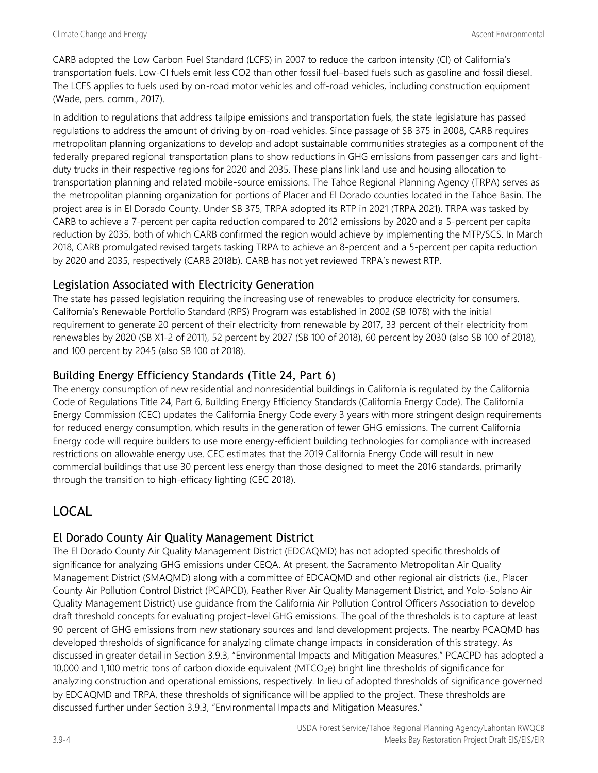CARB adopted the Low Carbon Fuel Standard (LCFS) in 2007 to reduce the carbon intensity (CI) of California's transportation fuels. Low-CI fuels emit less CO2 than other fossil fuel–based fuels such as gasoline and fossil diesel. The LCFS applies to fuels used by on-road motor vehicles and off-road vehicles, including construction equipment (Wade, pers. comm., 2017).

In addition to regulations that address tailpipe emissions and transportation fuels, the state legislature has passed regulations to address the amount of driving by on-road vehicles. Since passage of SB 375 in 2008, CARB requires metropolitan planning organizations to develop and adopt sustainable communities strategies as a component of the federally prepared regional transportation plans to show reductions in GHG emissions from passenger cars and lightduty trucks in their respective regions for 2020 and 2035. These plans link land use and housing allocation to transportation planning and related mobile-source emissions. The Tahoe Regional Planning Agency (TRPA) serves as the metropolitan planning organization for portions of Placer and El Dorado counties located in the Tahoe Basin. The project area is in El Dorado County. Under SB 375, TRPA adopted its RTP in 2021 (TRPA 2021). TRPA was tasked by CARB to achieve a 7-percent per capita reduction compared to 2012 emissions by 2020 and a 5-percent per capita reduction by 2035, both of which CARB confirmed the region would achieve by implementing the MTP/SCS. In March 2018, CARB promulgated revised targets tasking TRPA to achieve an 8-percent and a 5-percent per capita reduction by 2020 and 2035, respectively (CARB 2018b). CARB has not yet reviewed TRPA's newest RTP.

### Legislation Associated with Electricity Generation

The state has passed legislation requiring the increasing use of renewables to produce electricity for consumers. California's Renewable Portfolio Standard (RPS) Program was established in 2002 (SB 1078) with the initial requirement to generate 20 percent of their electricity from renewable by 2017, 33 percent of their electricity from renewables by 2020 (SB X1-2 of 2011), 52 percent by 2027 (SB 100 of 2018), 60 percent by 2030 (also SB 100 of 2018), and 100 percent by 2045 (also SB 100 of 2018).

## Building Energy Efficiency Standards (Title 24, Part 6)

The energy consumption of new residential and nonresidential buildings in California is regulated by the California Code of Regulations Title 24, Part 6, Building Energy Efficiency Standards (California Energy Code). The California Energy Commission (CEC) updates the California Energy Code every 3 years with more stringent design requirements for reduced energy consumption, which results in the generation of fewer GHG emissions. The current California Energy code will require builders to use more energy-efficient building technologies for compliance with increased restrictions on allowable energy use. CEC estimates that the 2019 California Energy Code will result in new commercial buildings that use 30 percent less energy than those designed to meet the 2016 standards, primarily through the transition to high-efficacy lighting (CEC 2018).

## LOCAL

## El Dorado County Air Quality Management District

The El Dorado County Air Quality Management District (EDCAQMD) has not adopted specific thresholds of significance for analyzing GHG emissions under CEQA. At present, the Sacramento Metropolitan Air Quality Management District (SMAQMD) along with a committee of EDCAQMD and other regional air districts (i.e., Placer County Air Pollution Control District (PCAPCD), Feather River Air Quality Management District, and Yolo-Solano Air Quality Management District) use guidance from the California Air Pollution Control Officers Association to develop draft threshold concepts for evaluating project-level GHG emissions. The goal of the thresholds is to capture at least 90 percent of GHG emissions from new stationary sources and land development projects. The nearby PCAQMD has developed thresholds of significance for analyzing climate change impacts in consideration of this strategy. As discussed in greater detail in Section 3.9.3, "Environmental Impacts and Mitigation Measures," PCACPD has adopted a 10,000 and 1,100 metric tons of carbon dioxide equivalent (MTCO2e) bright line thresholds of significance for analyzing construction and operational emissions, respectively. In lieu of adopted thresholds of significance governed by EDCAQMD and TRPA, these thresholds of significance will be applied to the project. These thresholds are discussed further under Section 3.9.3, "Environmental Impacts and Mitigation Measures."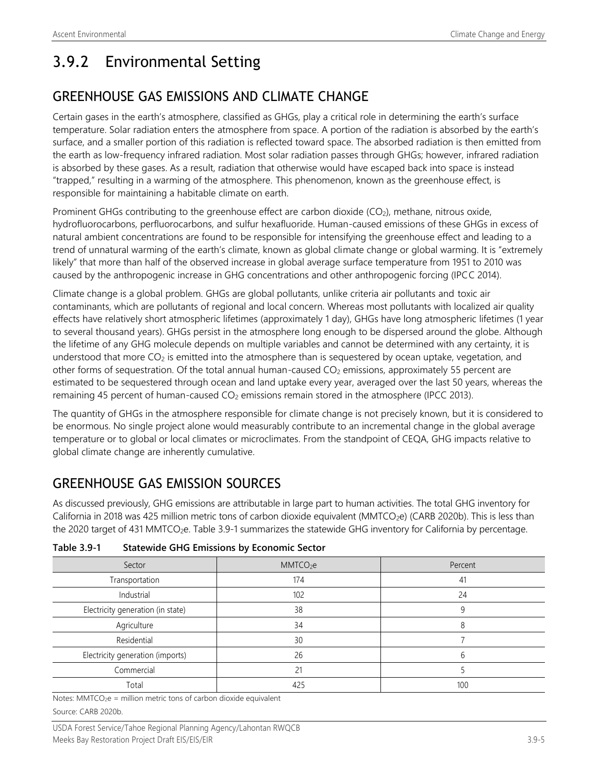# 3.9.2 Environmental Setting

## GREENHOUSE GAS EMISSIONS AND CLIMATE CHANGE

Certain gases in the earth's atmosphere, classified as GHGs, play a critical role in determining the earth's surface temperature. Solar radiation enters the atmosphere from space. A portion of the radiation is absorbed by the earth's surface, and a smaller portion of this radiation is reflected toward space. The absorbed radiation is then emitted from the earth as low-frequency infrared radiation. Most solar radiation passes through GHGs; however, infrared radiation is absorbed by these gases. As a result, radiation that otherwise would have escaped back into space is instead "trapped," resulting in a warming of the atmosphere. This phenomenon, known as the greenhouse effect, is responsible for maintaining a habitable climate on earth.

Prominent GHGs contributing to the greenhouse effect are carbon dioxide (CO<sub>2</sub>), methane, nitrous oxide, hydrofluorocarbons, perfluorocarbons, and sulfur hexafluoride. Human-caused emissions of these GHGs in excess of natural ambient concentrations are found to be responsible for intensifying the greenhouse effect and leading to a trend of unnatural warming of the earth's climate, known as global climate change or global warming. It is "extremely likely" that more than half of the observed increase in global average surface temperature from 1951 to 2010 was caused by the anthropogenic increase in GHG concentrations and other anthropogenic forcing (IPCC 2014).

Climate change is a global problem. GHGs are global pollutants, unlike criteria air pollutants and toxic air contaminants, which are pollutants of regional and local concern. Whereas most pollutants with localized air quality effects have relatively short atmospheric lifetimes (approximately 1 day), GHGs have long atmospheric lifetimes (1 year to several thousand years). GHGs persist in the atmosphere long enough to be dispersed around the globe. Although the lifetime of any GHG molecule depends on multiple variables and cannot be determined with any certainty, it is understood that more CO<sub>2</sub> is emitted into the atmosphere than is sequestered by ocean uptake, vegetation, and other forms of sequestration. Of the total annual human-caused  $CO<sub>2</sub>$  emissions, approximately 55 percent are estimated to be sequestered through ocean and land uptake every year, averaged over the last 50 years, whereas the remaining 45 percent of human-caused CO<sub>2</sub> emissions remain stored in the atmosphere (IPCC 2013).

The quantity of GHGs in the atmosphere responsible for climate change is not precisely known, but it is considered to be enormous. No single project alone would measurably contribute to an incremental change in the global average temperature or to global or local climates or microclimates. From the standpoint of CEQA, GHG impacts relative to global climate change are inherently cumulative.

## GREENHOUSE GAS EMISSION SOURCES

As discussed previously, GHG emissions are attributable in large part to human activities. The total GHG inventory for California in 2018 was 425 million metric tons of carbon dioxide equivalent (MMTCO<sub>2</sub>e) (CARB 2020b). This is less than the 2020 target of 431 MMTCO<sub>2</sub>e. Table 3.9-1 summarizes the statewide GHG inventory for California by percentage.

| Sector                            | MMTCO <sub>2</sub> e | Percent |
|-----------------------------------|----------------------|---------|
| Transportation                    | 174                  | 41      |
| Industrial                        | 102                  | 24      |
| Electricity generation (in state) | 38                   |         |
| Agriculture                       | 34                   |         |
| Residential                       | 30                   |         |
| Electricity generation (imports)  | 26                   |         |
| Commercial                        | 21                   |         |
| Total                             | 425                  | 100     |

**Table 3.9-1 Statewide GHG Emissions by Economic Sector**

Notes: MMTCO<sub>2</sub>e = million metric tons of carbon dioxide equivalent Source: CARB 2020b.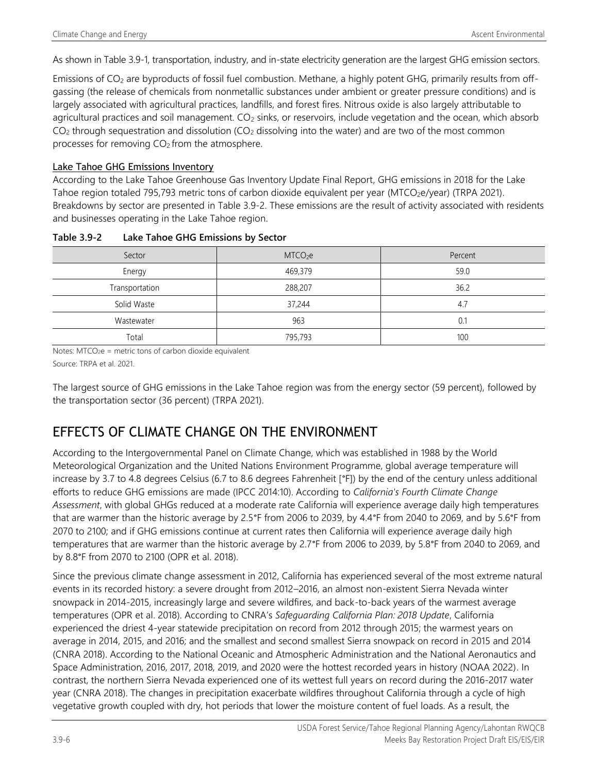As shown in Table 3.9-1, transportation, industry, and in-state electricity generation are the largest GHG emission sectors.

Emissions of CO<sub>2</sub> are byproducts of fossil fuel combustion. Methane, a highly potent GHG, primarily results from offgassing (the release of chemicals from nonmetallic substances under ambient or greater pressure conditions) and is largely associated with agricultural practices, landfills, and forest fires. Nitrous oxide is also largely attributable to agricultural practices and soil management. CO<sub>2</sub> sinks, or reservoirs, include vegetation and the ocean, which absorb  $CO<sub>2</sub>$  through sequestration and dissolution (CO<sub>2</sub> dissolving into the water) and are two of the most common processes for removing  $CO<sub>2</sub>$  from the atmosphere.

#### Lake Tahoe GHG Emissions Inventory

According to the Lake Tahoe Greenhouse Gas Inventory Update Final Report, GHG emissions in 2018 for the Lake Tahoe region totaled 795,793 metric tons of carbon dioxide equivalent per year (MTCO<sub>2</sub>e/year) (TRPA 2021). Breakdowns by sector are presented in Table 3.9-2. These emissions are the result of activity associated with residents and businesses operating in the Lake Tahoe region.

| Sector         | MTCO <sub>2</sub> e | Percent |
|----------------|---------------------|---------|
| Energy         | 469,379             | 59.0    |
| Transportation | 288,207             | 36.2    |
| Solid Waste    | 37,244              | 4.7     |
| Wastewater     | 963                 | 0.1     |
| Total          | 795,793             | 100     |

#### **Table 3.9-2 Lake Tahoe GHG Emissions by Sector**

Notes:  $MTCO<sub>2</sub>e$  = metric tons of carbon dioxide equivalent

Source: TRPA et al. 2021.

The largest source of GHG emissions in the Lake Tahoe region was from the energy sector (59 percent), followed by the transportation sector (36 percent) (TRPA 2021).

## EFFECTS OF CLIMATE CHANGE ON THE ENVIRONMENT

According to the Intergovernmental Panel on Climate Change, which was established in 1988 by the World Meteorological Organization and the United Nations Environment Programme, global average temperature will increase by 3.7 to 4.8 degrees Celsius (6.7 to 8.6 degrees Fahrenheit [°F]) by the end of the century unless additional efforts to reduce GHG emissions are made (IPCC 2014:10). According to *California's Fourth Climate Change Assessment*, with global GHGs reduced at a moderate rate California will experience average daily high temperatures that are warmer than the historic average by 2.5°F from 2006 to 2039, by 4.4°F from 2040 to 2069, and by 5.6°F from 2070 to 2100; and if GHG emissions continue at current rates then California will experience average daily high temperatures that are warmer than the historic average by 2.7°F from 2006 to 2039, by 5.8°F from 2040 to 2069, and by 8.8°F from 2070 to 2100 (OPR et al. 2018).

Since the previous climate change assessment in 2012, California has experienced several of the most extreme natural events in its recorded history: a severe drought from 2012–2016, an almost non-existent Sierra Nevada winter snowpack in 2014-2015, increasingly large and severe wildfires, and back-to-back years of the warmest average temperatures (OPR et al. 2018). According to CNRA's *Safeguarding California Plan: 2018 Update*, California experienced the driest 4-year statewide precipitation on record from 2012 through 2015; the warmest years on average in 2014, 2015, and 2016; and the smallest and second smallest Sierra snowpack on record in 2015 and 2014 (CNRA 2018). According to the National Oceanic and Atmospheric Administration and the National Aeronautics and Space Administration, 2016, 2017, 2018, 2019, and 2020 were the hottest recorded years in history (NOAA 2022). In contrast, the northern Sierra Nevada experienced one of its wettest full years on record during the 2016-2017 water year (CNRA 2018). The changes in precipitation exacerbate wildfires throughout California through a cycle of high vegetative growth coupled with dry, hot periods that lower the moisture content of fuel loads. As a result, the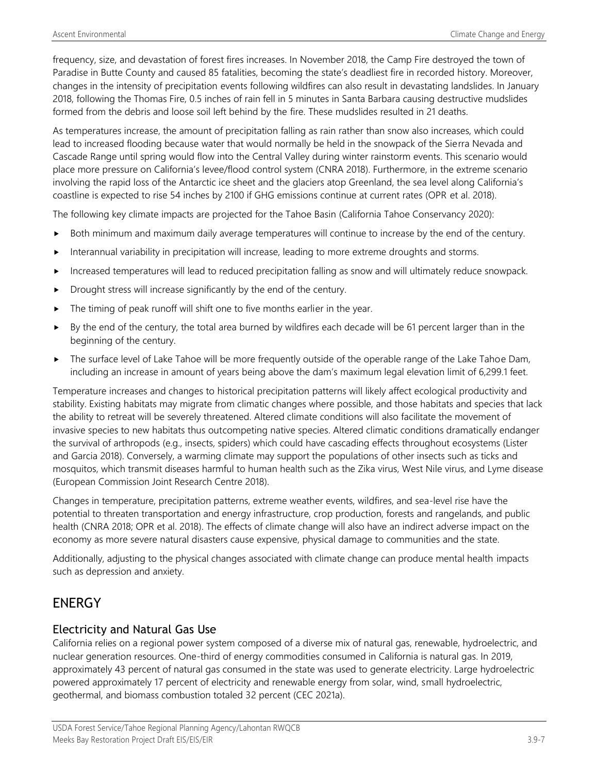frequency, size, and devastation of forest fires increases. In November 2018, the Camp Fire destroyed the town of Paradise in Butte County and caused 85 fatalities, becoming the state's deadliest fire in recorded history. Moreover, changes in the intensity of precipitation events following wildfires can also result in devastating landslides. In January 2018, following the Thomas Fire, 0.5 inches of rain fell in 5 minutes in Santa Barbara causing destructive mudslides formed from the debris and loose soil left behind by the fire. These mudslides resulted in 21 deaths.

As temperatures increase, the amount of precipitation falling as rain rather than snow also increases, which could lead to increased flooding because water that would normally be held in the snowpack of the Sierra Nevada and Cascade Range until spring would flow into the Central Valley during winter rainstorm events. This scenario would place more pressure on California's levee/flood control system (CNRA 2018). Furthermore, in the extreme scenario involving the rapid loss of the Antarctic ice sheet and the glaciers atop Greenland, the sea level along California's coastline is expected to rise 54 inches by 2100 if GHG emissions continue at current rates (OPR et al. 2018).

The following key climate impacts are projected for the Tahoe Basin (California Tahoe Conservancy 2020):

- Both minimum and maximum daily average temperatures will continue to increase by the end of the century.
- Interannual variability in precipitation will increase, leading to more extreme droughts and storms.
- Increased temperatures will lead to reduced precipitation falling as snow and will ultimately reduce snowpack.
- Drought stress will increase significantly by the end of the century.
- The timing of peak runoff will shift one to five months earlier in the year.
- $\triangleright$  By the end of the century, the total area burned by wildfires each decade will be 61 percent larger than in the beginning of the century.
- **F** The surface level of Lake Tahoe will be more frequently outside of the operable range of the Lake Tahoe Dam, including an increase in amount of years being above the dam's maximum legal elevation limit of 6,299.1 feet.

Temperature increases and changes to historical precipitation patterns will likely affect ecological productivity and stability. Existing habitats may migrate from climatic changes where possible, and those habitats and species that lack the ability to retreat will be severely threatened. Altered climate conditions will also facilitate the movement of invasive species to new habitats thus outcompeting native species. Altered climatic conditions dramatically endanger the survival of arthropods (e.g., insects, spiders) which could have cascading effects throughout ecosystems (Lister and Garcia 2018). Conversely, a warming climate may support the populations of other insects such as ticks and mosquitos, which transmit diseases harmful to human health such as the Zika virus, West Nile virus, and Lyme disease (European Commission Joint Research Centre 2018).

Changes in temperature, precipitation patterns, extreme weather events, wildfires, and sea-level rise have the potential to threaten transportation and energy infrastructure, crop production, forests and rangelands, and public health (CNRA 2018; OPR et al. 2018). The effects of climate change will also have an indirect adverse impact on the economy as more severe natural disasters cause expensive, physical damage to communities and the state.

Additionally, adjusting to the physical changes associated with climate change can produce mental health impacts such as depression and anxiety.

## **ENERGY**

#### Electricity and Natural Gas Use

California relies on a regional power system composed of a diverse mix of natural gas, renewable, hydroelectric, and nuclear generation resources. One-third of energy commodities consumed in California is natural gas. In 2019, approximately 43 percent of natural gas consumed in the state was used to generate electricity. Large hydroelectric powered approximately 17 percent of electricity and renewable energy from solar, wind, small hydroelectric, geothermal, and biomass combustion totaled 32 percent (CEC 2021a).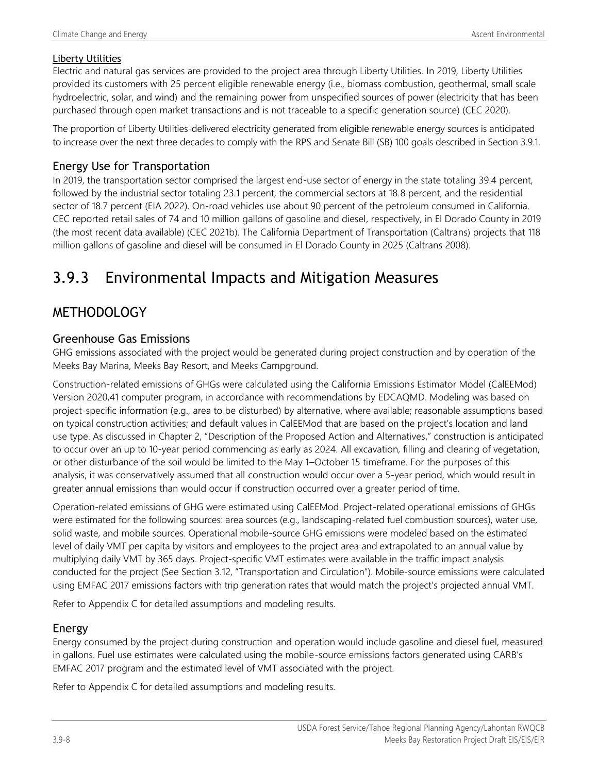#### Liberty Utilities

Electric and natural gas services are provided to the project area through Liberty Utilities. In 2019, Liberty Utilities provided its customers with 25 percent eligible renewable energy (i.e., biomass combustion, geothermal, small scale hydroelectric, solar, and wind) and the remaining power from unspecified sources of power (electricity that has been purchased through open market transactions and is not traceable to a specific generation source) (CEC 2020).

The proportion of Liberty Utilities-delivered electricity generated from eligible renewable energy sources is anticipated to increase over the next three decades to comply with the RPS and Senate Bill (SB) 100 goals described in Section 3.9.1.

### Energy Use for Transportation

In 2019, the transportation sector comprised the largest end-use sector of energy in the state totaling 39.4 percent, followed by the industrial sector totaling 23.1 percent, the commercial sectors at 18.8 percent, and the residential sector of 18.7 percent (EIA 2022). On-road vehicles use about 90 percent of the petroleum consumed in California. CEC reported retail sales of 74 and 10 million gallons of gasoline and diesel, respectively, in El Dorado County in 2019 (the most recent data available) (CEC 2021b). The California Department of Transportation (Caltrans) projects that 118 million gallons of gasoline and diesel will be consumed in El Dorado County in 2025 (Caltrans 2008).

# 3.9.3 Environmental Impacts and Mitigation Measures

## METHODOLOGY

### Greenhouse Gas Emissions

GHG emissions associated with the project would be generated during project construction and by operation of the Meeks Bay Marina, Meeks Bay Resort, and Meeks Campground.

Construction-related emissions of GHGs were calculated using the California Emissions Estimator Model (CalEEMod) Version 2020,41 computer program, in accordance with recommendations by EDCAQMD. Modeling was based on project-specific information (e.g., area to be disturbed) by alternative, where available; reasonable assumptions based on typical construction activities; and default values in CalEEMod that are based on the project's location and land use type. As discussed in Chapter 2, "Description of the Proposed Action and Alternatives," construction is anticipated to occur over an up to 10-year period commencing as early as 2024. All excavation, filling and clearing of vegetation, or other disturbance of the soil would be limited to the May 1–October 15 timeframe. For the purposes of this analysis, it was conservatively assumed that all construction would occur over a 5-year period, which would result in greater annual emissions than would occur if construction occurred over a greater period of time.

Operation-related emissions of GHG were estimated using CalEEMod. Project-related operational emissions of GHGs were estimated for the following sources: area sources (e.g., landscaping-related fuel combustion sources), water use, solid waste, and mobile sources. Operational mobile-source GHG emissions were modeled based on the estimated level of daily VMT per capita by visitors and employees to the project area and extrapolated to an annual value by multiplying daily VMT by 365 days. Project-specific VMT estimates were available in the traffic impact analysis conducted for the project (See Section 3.12, "Transportation and Circulation"). Mobile-source emissions were calculated using EMFAC 2017 emissions factors with trip generation rates that would match the project's projected annual VMT.

Refer to Appendix C for detailed assumptions and modeling results.

## Energy

Energy consumed by the project during construction and operation would include gasoline and diesel fuel, measured in gallons. Fuel use estimates were calculated using the mobile-source emissions factors generated using CARB's EMFAC 2017 program and the estimated level of VMT associated with the project.

Refer to Appendix C for detailed assumptions and modeling results.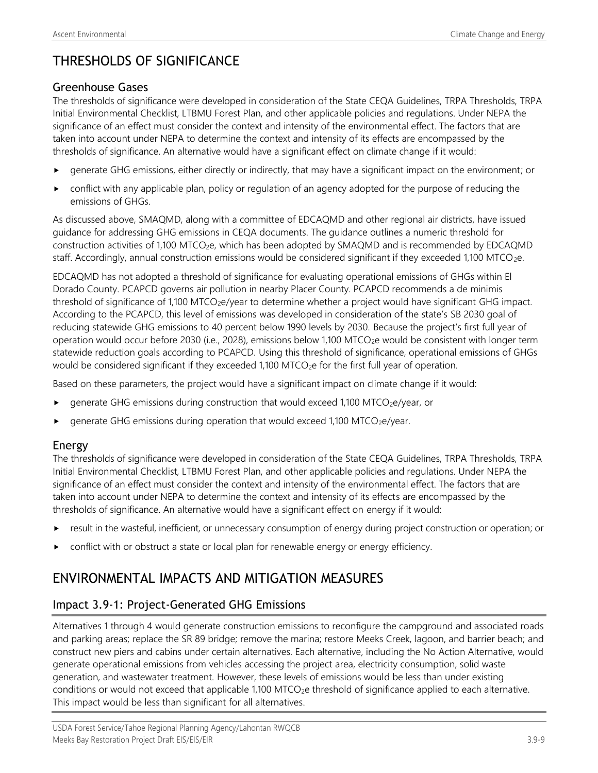## THRESHOLDS OF SIGNIFICANCE

#### Greenhouse Gases

The thresholds of significance were developed in consideration of the State CEQA Guidelines, TRPA Thresholds, TRPA Initial Environmental Checklist, LTBMU Forest Plan, and other applicable policies and regulations. Under NEPA the significance of an effect must consider the context and intensity of the environmental effect. The factors that are taken into account under NEPA to determine the context and intensity of its effects are encompassed by the thresholds of significance. An alternative would have a significant effect on climate change if it would:

- generate GHG emissions, either directly or indirectly, that may have a significant impact on the environment; or
- conflict with any applicable plan, policy or regulation of an agency adopted for the purpose of reducing the emissions of GHGs.

As discussed above, SMAQMD, along with a committee of EDCAQMD and other regional air districts, have issued guidance for addressing GHG emissions in CEQA documents. The guidance outlines a numeric threshold for construction activities of 1,100 MTCO<sub>2</sub>e, which has been adopted by SMAQMD and is recommended by EDCAQMD staff. Accordingly, annual construction emissions would be considered significant if they exceeded 1,100 MTCO<sub>2</sub>e.

EDCAQMD has not adopted a threshold of significance for evaluating operational emissions of GHGs within El Dorado County. PCAPCD governs air pollution in nearby Placer County. PCAPCD recommends a de minimis threshold of significance of 1,100 MTCO<sub>2</sub>e/year to determine whether a project would have significant GHG impact. According to the PCAPCD, this level of emissions was developed in consideration of the state's SB 2030 goal of reducing statewide GHG emissions to 40 percent below 1990 levels by 2030. Because the project's first full year of operation would occur before 2030 (i.e., 2028), emissions below 1,100 MTCO<sub>2</sub>e would be consistent with longer term statewide reduction goals according to PCAPCD. Using this threshold of significance, operational emissions of GHGs would be considered significant if they exceeded 1,100 MTCO<sub>2</sub>e for the first full year of operation.

Based on these parameters, the project would have a significant impact on climate change if it would:

- generate GHG emissions during construction that would exceed 1,100 MTCO<sub>2</sub>e/year, or
- generate GHG emissions during operation that would exceed 1,100 MTCO<sub>2</sub>e/year.

#### Energy

The thresholds of significance were developed in consideration of the State CEQA Guidelines, TRPA Thresholds, TRPA Initial Environmental Checklist, LTBMU Forest Plan, and other applicable policies and regulations. Under NEPA the significance of an effect must consider the context and intensity of the environmental effect. The factors that are taken into account under NEPA to determine the context and intensity of its effects are encompassed by the thresholds of significance. An alternative would have a significant effect on energy if it would:

- result in the wasteful, inefficient, or unnecessary consumption of energy during project construction or operation; or
- conflict with or obstruct a state or local plan for renewable energy or energy efficiency.

## ENVIRONMENTAL IMPACTS AND MITIGATION MEASURES

### Impact 3.9-1: Project-Generated GHG Emissions

Alternatives 1 through 4 would generate construction emissions to reconfigure the campground and associated roads and parking areas; replace the SR 89 bridge; remove the marina; restore Meeks Creek, lagoon, and barrier beach; and construct new piers and cabins under certain alternatives. Each alternative, including the No Action Alternative, would generate operational emissions from vehicles accessing the project area, electricity consumption, solid waste generation, and wastewater treatment. However, these levels of emissions would be less than under existing conditions or would not exceed that applicable 1,100 MTCO<sub>2</sub>e threshold of significance applied to each alternative. This impact would be less than significant for all alternatives.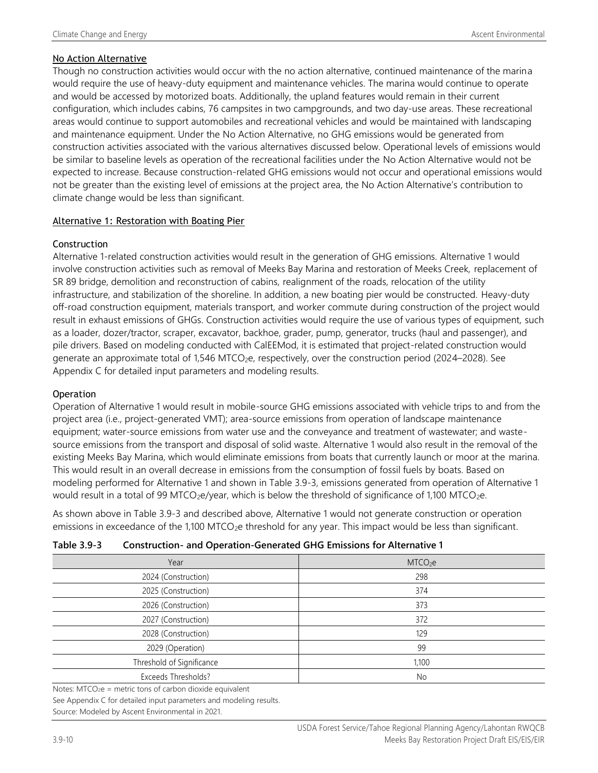#### No Action Alternative

Though no construction activities would occur with the no action alternative, continued maintenance of the marina would require the use of heavy-duty equipment and maintenance vehicles. The marina would continue to operate and would be accessed by motorized boats. Additionally, the upland features would remain in their current configuration, which includes cabins, 76 campsites in two campgrounds, and two day-use areas. These recreational areas would continue to support automobiles and recreational vehicles and would be maintained with landscaping and maintenance equipment. Under the No Action Alternative, no GHG emissions would be generated from construction activities associated with the various alternatives discussed below. Operational levels of emissions would be similar to baseline levels as operation of the recreational facilities under the No Action Alternative would not be expected to increase. Because construction-related GHG emissions would not occur and operational emissions would not be greater than the existing level of emissions at the project area, the No Action Alternative's contribution to climate change would be less than significant.

#### Alternative 1: Restoration with Boating Pier

#### **Construction**

Alternative 1-related construction activities would result in the generation of GHG emissions. Alternative 1 would involve construction activities such as removal of Meeks Bay Marina and restoration of Meeks Creek, replacement of SR 89 bridge, demolition and reconstruction of cabins, realignment of the roads, relocation of the utility infrastructure, and stabilization of the shoreline. In addition, a new boating pier would be constructed. Heavy-duty off-road construction equipment, materials transport, and worker commute during construction of the project would result in exhaust emissions of GHGs. Construction activities would require the use of various types of equipment, such as a loader, dozer/tractor, scraper, excavator, backhoe, grader, pump, generator, trucks (haul and passenger), and pile drivers. Based on modeling conducted with CalEEMod, it is estimated that project-related construction would generate an approximate total of 1,546 MTCO<sub>2</sub>e, respectively, over the construction period (2024–2028). See Appendix C for detailed input parameters and modeling results.

#### **Operation**

Operation of Alternative 1 would result in mobile-source GHG emissions associated with vehicle trips to and from the project area (i.e., project-generated VMT); area-source emissions from operation of landscape maintenance equipment; water-source emissions from water use and the conveyance and treatment of wastewater; and wastesource emissions from the transport and disposal of solid waste. Alternative 1 would also result in the removal of the existing Meeks Bay Marina, which would eliminate emissions from boats that currently launch or moor at the marina. This would result in an overall decrease in emissions from the consumption of fossil fuels by boats. Based on modeling performed for Alternative 1 and shown in Table 3.9-3, emissions generated from operation of Alternative 1 would result in a total of 99 MTCO<sub>2</sub>e/year, which is below the threshold of significance of 1,100 MTCO<sub>2</sub>e.

As shown above in Table 3.9-3 and described above, Alternative 1 would not generate construction or operation emissions in exceedance of the 1,100 MTCO<sub>2</sub>e threshold for any year. This impact would be less than significant.

| Table 3.9-3 | <b>Construction- and Operation-Generated GHG Emissions for Alternative 1</b> |
|-------------|------------------------------------------------------------------------------|
|-------------|------------------------------------------------------------------------------|

| Year                      | MTCO <sub>2</sub> e |
|---------------------------|---------------------|
| 2024 (Construction)       | 298                 |
| 2025 (Construction)       | 374                 |
| 2026 (Construction)       | 373                 |
| 2027 (Construction)       | 372                 |
| 2028 (Construction)       | 129                 |
| 2029 (Operation)          | 99                  |
| Threshold of Significance | 1,100               |
| Exceeds Thresholds?       | No                  |
|                           |                     |

Notes: MTCO2e = metric tons of carbon dioxide equivalent See Appendix C for detailed input parameters and modeling results.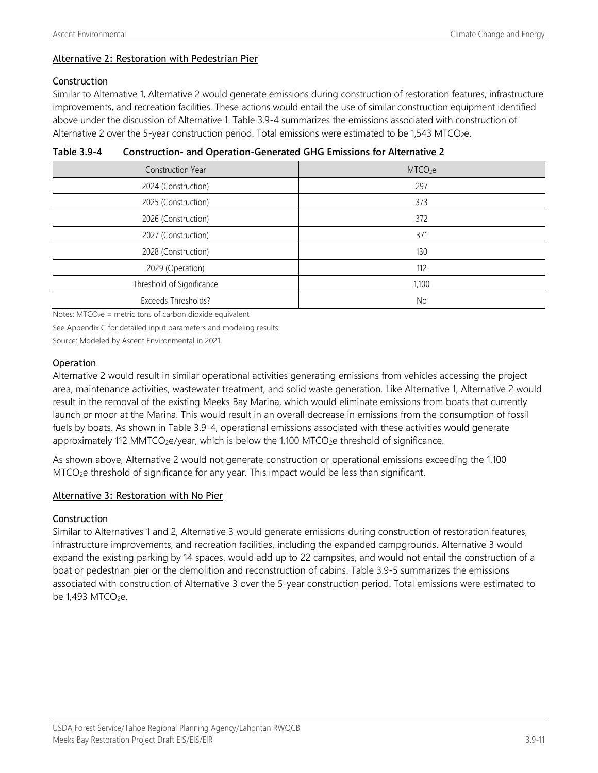#### Alternative 2: Restoration with Pedestrian Pier

#### Construction

Similar to Alternative 1, Alternative 2 would generate emissions during construction of restoration features, infrastructure improvements, and recreation facilities. These actions would entail the use of similar construction equipment identified above under the discussion of Alternative 1. Table 3.9-4 summarizes the emissions associated with construction of Alternative 2 over the 5-year construction period. Total emissions were estimated to be 1,543 MTCO<sub>2</sub>e.

| <b>Construction Year</b>  | MTCO <sub>2</sub> e |
|---------------------------|---------------------|
| 2024 (Construction)       | 297                 |
| 2025 (Construction)       | 373                 |
| 2026 (Construction)       | 372                 |
| 2027 (Construction)       | 371                 |
| 2028 (Construction)       | 130                 |
| 2029 (Operation)          | 112                 |
| Threshold of Significance | 1,100               |
| Exceeds Thresholds?       | No                  |

**Table 3.9-4 Construction- and Operation-Generated GHG Emissions for Alternative 2**

Notes:  $MTCO<sub>2</sub>e$  = metric tons of carbon dioxide equivalent

See Appendix C for detailed input parameters and modeling results.

Source: Modeled by Ascent Environmental in 2021.

#### **Operation**

Alternative 2 would result in similar operational activities generating emissions from vehicles accessing the project area, maintenance activities, wastewater treatment, and solid waste generation. Like Alternative 1, Alternative 2 would result in the removal of the existing Meeks Bay Marina, which would eliminate emissions from boats that currently launch or moor at the Marina. This would result in an overall decrease in emissions from the consumption of fossil fuels by boats. As shown in Table 3.9-4, operational emissions associated with these activities would generate approximately 112 MMTCO<sub>2</sub>e/year, which is below the 1,100 MTCO<sub>2</sub>e threshold of significance.

As shown above, Alternative 2 would not generate construction or operational emissions exceeding the 1,100 MTCO2e threshold of significance for any year. This impact would be less than significant.

#### Alternative 3: Restoration with No Pier

#### **Construction**

Similar to Alternatives 1 and 2, Alternative 3 would generate emissions during construction of restoration features, infrastructure improvements, and recreation facilities, including the expanded campgrounds. Alternative 3 would expand the existing parking by 14 spaces, would add up to 22 campsites, and would not entail the construction of a boat or pedestrian pier or the demolition and reconstruction of cabins. Table 3.9-5 summarizes the emissions associated with construction of Alternative 3 over the 5-year construction period. Total emissions were estimated to be  $1,493$  MTCO<sub>2</sub>e.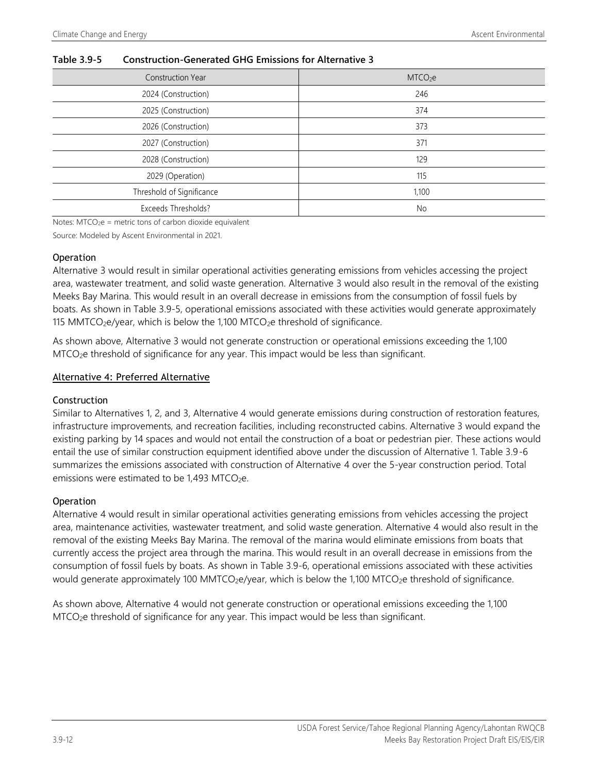| <b>Construction Year</b>  | MTCO <sub>2</sub> e |
|---------------------------|---------------------|
| 2024 (Construction)       | 246                 |
| 2025 (Construction)       | 374                 |
| 2026 (Construction)       | 373                 |
| 2027 (Construction)       | 371                 |
| 2028 (Construction)       | 129                 |
| 2029 (Operation)          | 115                 |
| Threshold of Significance | 1,100               |
| Exceeds Thresholds?       | No                  |

#### **Table 3.9-5 Construction-Generated GHG Emissions for Alternative 3**

Notes:  $MTCO<sub>2</sub>e$  = metric tons of carbon dioxide equivalent

Source: Modeled by Ascent Environmental in 2021.

#### Operation

Alternative 3 would result in similar operational activities generating emissions from vehicles accessing the project area, wastewater treatment, and solid waste generation. Alternative 3 would also result in the removal of the existing Meeks Bay Marina. This would result in an overall decrease in emissions from the consumption of fossil fuels by boats. As shown in Table 3.9-5, operational emissions associated with these activities would generate approximately 115 MMTCO<sub>2</sub>e/year, which is below the 1,100 MTCO<sub>2</sub>e threshold of significance.

As shown above, Alternative 3 would not generate construction or operational emissions exceeding the 1,100 MTCO2e threshold of significance for any year. This impact would be less than significant.

#### Alternative 4: Preferred Alternative

#### Construction

Similar to Alternatives 1, 2, and 3, Alternative 4 would generate emissions during construction of restoration features, infrastructure improvements, and recreation facilities, including reconstructed cabins. Alternative 3 would expand the existing parking by 14 spaces and would not entail the construction of a boat or pedestrian pier. These actions would entail the use of similar construction equipment identified above under the discussion of Alternative 1. Table 3.9-6 summarizes the emissions associated with construction of Alternative 4 over the 5-year construction period. Total emissions were estimated to be  $1,493$  MTCO<sub>2</sub>e.

#### **Operation**

Alternative 4 would result in similar operational activities generating emissions from vehicles accessing the project area, maintenance activities, wastewater treatment, and solid waste generation. Alternative 4 would also result in the removal of the existing Meeks Bay Marina. The removal of the marina would eliminate emissions from boats that currently access the project area through the marina. This would result in an overall decrease in emissions from the consumption of fossil fuels by boats. As shown in Table 3.9-6, operational emissions associated with these activities would generate approximately 100 MMTCO<sub>2</sub>e/year, which is below the 1,100 MTCO<sub>2</sub>e threshold of significance.

As shown above, Alternative 4 would not generate construction or operational emissions exceeding the 1,100 MTCO2e threshold of significance for any year. This impact would be less than significant.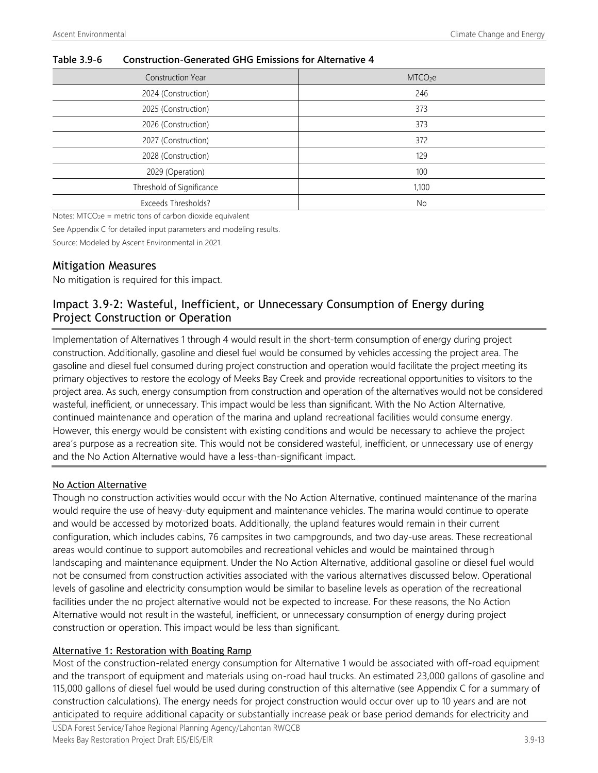| <b>Construction Year</b>  | MTCO <sub>2</sub> e |
|---------------------------|---------------------|
| 2024 (Construction)       | 246                 |
| 2025 (Construction)       | 373                 |
| 2026 (Construction)       | 373                 |
| 2027 (Construction)       | 372                 |
| 2028 (Construction)       | 129                 |
| 2029 (Operation)          | 100                 |
| Threshold of Significance | 1,100               |
| Exceeds Thresholds?       | No                  |

#### **Table 3.9-6 Construction-Generated GHG Emissions for Alternative 4**

Notes:  $MTCO<sub>2</sub>e$  = metric tons of carbon dioxide equivalent

See Appendix C for detailed input parameters and modeling results.

Source: Modeled by Ascent Environmental in 2021.

#### Mitigation Measures

No mitigation is required for this impact.

### Impact 3.9-2: Wasteful, Inefficient, or Unnecessary Consumption of Energy during Project Construction or Operation

Implementation of Alternatives 1 through 4 would result in the short-term consumption of energy during project construction. Additionally, gasoline and diesel fuel would be consumed by vehicles accessing the project area. The gasoline and diesel fuel consumed during project construction and operation would facilitate the project meeting its primary objectives to restore the ecology of Meeks Bay Creek and provide recreational opportunities to visitors to the project area. As such, energy consumption from construction and operation of the alternatives would not be considered wasteful, inefficient, or unnecessary. This impact would be less than significant. With the No Action Alternative, continued maintenance and operation of the marina and upland recreational facilities would consume energy. However, this energy would be consistent with existing conditions and would be necessary to achieve the project area's purpose as a recreation site. This would not be considered wasteful, inefficient, or unnecessary use of energy and the No Action Alternative would have a less-than-significant impact.

#### No Action Alternative

Though no construction activities would occur with the No Action Alternative, continued maintenance of the marina would require the use of heavy-duty equipment and maintenance vehicles. The marina would continue to operate and would be accessed by motorized boats. Additionally, the upland features would remain in their current configuration, which includes cabins, 76 campsites in two campgrounds, and two day-use areas. These recreational areas would continue to support automobiles and recreational vehicles and would be maintained through landscaping and maintenance equipment. Under the No Action Alternative, additional gasoline or diesel fuel would not be consumed from construction activities associated with the various alternatives discussed below. Operational levels of gasoline and electricity consumption would be similar to baseline levels as operation of the recreational facilities under the no project alternative would not be expected to increase. For these reasons, the No Action Alternative would not result in the wasteful, inefficient, or unnecessary consumption of energy during project construction or operation. This impact would be less than significant.

#### Alternative 1: Restoration with Boating Ramp

Most of the construction-related energy consumption for Alternative 1 would be associated with off-road equipment and the transport of equipment and materials using on-road haul trucks. An estimated 23,000 gallons of gasoline and 115,000 gallons of diesel fuel would be used during construction of this alternative (see Appendix C for a summary of construction calculations). The energy needs for project construction would occur over up to 10 years and are not anticipated to require additional capacity or substantially increase peak or base period demands for electricity and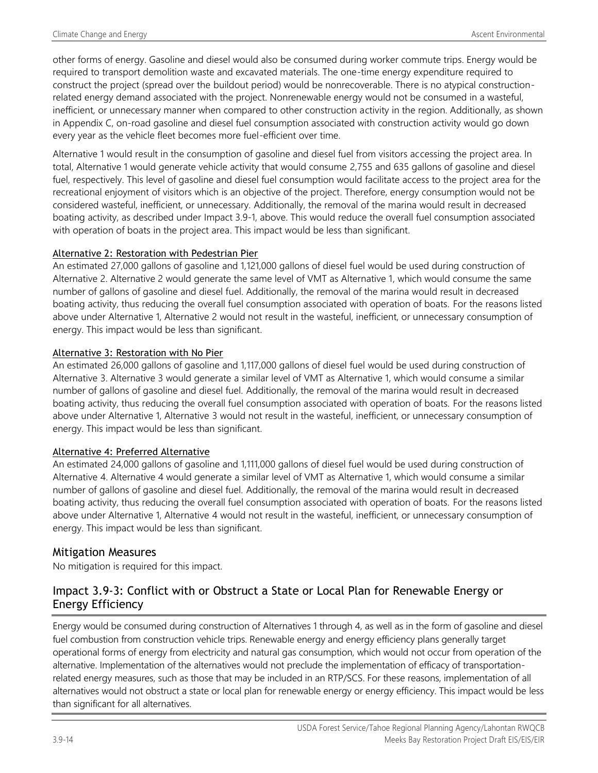other forms of energy. Gasoline and diesel would also be consumed during worker commute trips. Energy would be required to transport demolition waste and excavated materials. The one-time energy expenditure required to construct the project (spread over the buildout period) would be nonrecoverable. There is no atypical constructionrelated energy demand associated with the project. Nonrenewable energy would not be consumed in a wasteful, inefficient, or unnecessary manner when compared to other construction activity in the region. Additionally, as shown in Appendix C, on-road gasoline and diesel fuel consumption associated with construction activity would go down every year as the vehicle fleet becomes more fuel-efficient over time.

Alternative 1 would result in the consumption of gasoline and diesel fuel from visitors accessing the project area. In total, Alternative 1 would generate vehicle activity that would consume 2,755 and 635 gallons of gasoline and diesel fuel, respectively. This level of gasoline and diesel fuel consumption would facilitate access to the project area for the recreational enjoyment of visitors which is an objective of the project. Therefore, energy consumption would not be considered wasteful, inefficient, or unnecessary. Additionally, the removal of the marina would result in decreased boating activity, as described under Impact 3.9-1, above. This would reduce the overall fuel consumption associated with operation of boats in the project area. This impact would be less than significant.

#### Alternative 2: Restoration with Pedestrian Pier

An estimated 27,000 gallons of gasoline and 1,121,000 gallons of diesel fuel would be used during construction of Alternative 2. Alternative 2 would generate the same level of VMT as Alternative 1, which would consume the same number of gallons of gasoline and diesel fuel. Additionally, the removal of the marina would result in decreased boating activity, thus reducing the overall fuel consumption associated with operation of boats. For the reasons listed above under Alternative 1, Alternative 2 would not result in the wasteful, inefficient, or unnecessary consumption of energy. This impact would be less than significant.

#### Alternative 3: Restoration with No Pier

An estimated 26,000 gallons of gasoline and 1,117,000 gallons of diesel fuel would be used during construction of Alternative 3. Alternative 3 would generate a similar level of VMT as Alternative 1, which would consume a similar number of gallons of gasoline and diesel fuel. Additionally, the removal of the marina would result in decreased boating activity, thus reducing the overall fuel consumption associated with operation of boats. For the reasons listed above under Alternative 1, Alternative 3 would not result in the wasteful, inefficient, or unnecessary consumption of energy. This impact would be less than significant.

#### Alternative 4: Preferred Alternative

An estimated 24,000 gallons of gasoline and 1,111,000 gallons of diesel fuel would be used during construction of Alternative 4. Alternative 4 would generate a similar level of VMT as Alternative 1, which would consume a similar number of gallons of gasoline and diesel fuel. Additionally, the removal of the marina would result in decreased boating activity, thus reducing the overall fuel consumption associated with operation of boats. For the reasons listed above under Alternative 1, Alternative 4 would not result in the wasteful, inefficient, or unnecessary consumption of energy. This impact would be less than significant.

#### Mitigation Measures

No mitigation is required for this impact.

### Impact 3.9-3: Conflict with or Obstruct a State or Local Plan for Renewable Energy or Energy Efficiency

Energy would be consumed during construction of Alternatives 1 through 4, as well as in the form of gasoline and diesel fuel combustion from construction vehicle trips. Renewable energy and energy efficiency plans generally target operational forms of energy from electricity and natural gas consumption, which would not occur from operation of the alternative. Implementation of the alternatives would not preclude the implementation of efficacy of transportationrelated energy measures, such as those that may be included in an RTP/SCS. For these reasons, implementation of all alternatives would not obstruct a state or local plan for renewable energy or energy efficiency. This impact would be less than significant for all alternatives.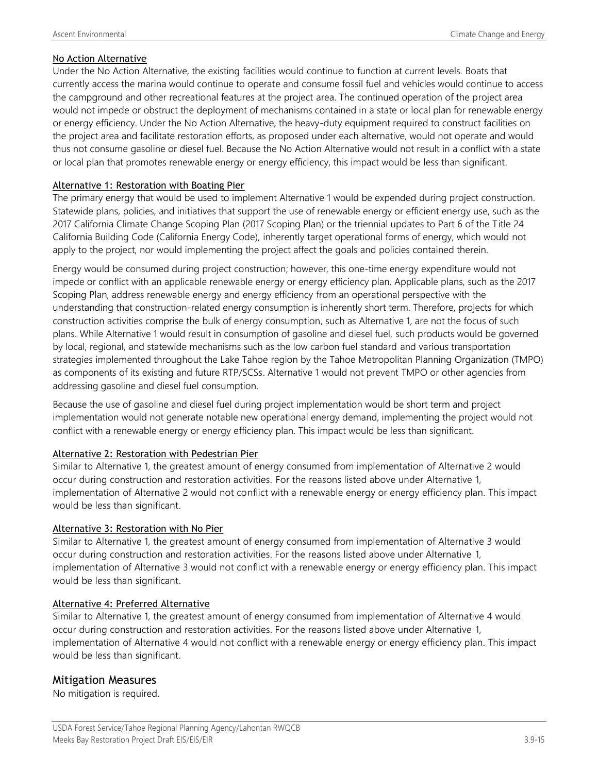#### No Action Alternative

Under the No Action Alternative, the existing facilities would continue to function at current levels. Boats that currently access the marina would continue to operate and consume fossil fuel and vehicles would continue to access the campground and other recreational features at the project area. The continued operation of the project area would not impede or obstruct the deployment of mechanisms contained in a state or local plan for renewable energy or energy efficiency. Under the No Action Alternative, the heavy-duty equipment required to construct facilities on the project area and facilitate restoration efforts, as proposed under each alternative, would not operate and would thus not consume gasoline or diesel fuel. Because the No Action Alternative would not result in a conflict with a state or local plan that promotes renewable energy or energy efficiency, this impact would be less than significant.

#### Alternative 1: Restoration with Boating Pier

The primary energy that would be used to implement Alternative 1 would be expended during project construction. Statewide plans, policies, and initiatives that support the use of renewable energy or efficient energy use, such as the 2017 California Climate Change Scoping Plan (2017 Scoping Plan) or the triennial updates to Part 6 of the Title 24 California Building Code (California Energy Code), inherently target operational forms of energy, which would not apply to the project, nor would implementing the project affect the goals and policies contained therein.

Energy would be consumed during project construction; however, this one-time energy expenditure would not impede or conflict with an applicable renewable energy or energy efficiency plan. Applicable plans, such as the 2017 Scoping Plan, address renewable energy and energy efficiency from an operational perspective with the understanding that construction-related energy consumption is inherently short term. Therefore, projects for which construction activities comprise the bulk of energy consumption, such as Alternative 1, are not the focus of such plans. While Alternative 1 would result in consumption of gasoline and diesel fuel, such products would be governed by local, regional, and statewide mechanisms such as the low carbon fuel standard and various transportation strategies implemented throughout the Lake Tahoe region by the Tahoe Metropolitan Planning Organization (TMPO) as components of its existing and future RTP/SCSs. Alternative 1 would not prevent TMPO or other agencies from addressing gasoline and diesel fuel consumption.

Because the use of gasoline and diesel fuel during project implementation would be short term and project implementation would not generate notable new operational energy demand, implementing the project would not conflict with a renewable energy or energy efficiency plan. This impact would be less than significant.

#### Alternative 2: Restoration with Pedestrian Pier

Similar to Alternative 1, the greatest amount of energy consumed from implementation of Alternative 2 would occur during construction and restoration activities. For the reasons listed above under Alternative 1, implementation of Alternative 2 would not conflict with a renewable energy or energy efficiency plan. This impact would be less than significant.

#### Alternative 3: Restoration with No Pier

Similar to Alternative 1, the greatest amount of energy consumed from implementation of Alternative 3 would occur during construction and restoration activities. For the reasons listed above under Alternative 1, implementation of Alternative 3 would not conflict with a renewable energy or energy efficiency plan. This impact would be less than significant.

#### Alternative 4: Preferred Alternative

Similar to Alternative 1, the greatest amount of energy consumed from implementation of Alternative 4 would occur during construction and restoration activities. For the reasons listed above under Alternative 1, implementation of Alternative 4 would not conflict with a renewable energy or energy efficiency plan. This impact would be less than significant.

#### Mitigation Measures

No mitigation is required.